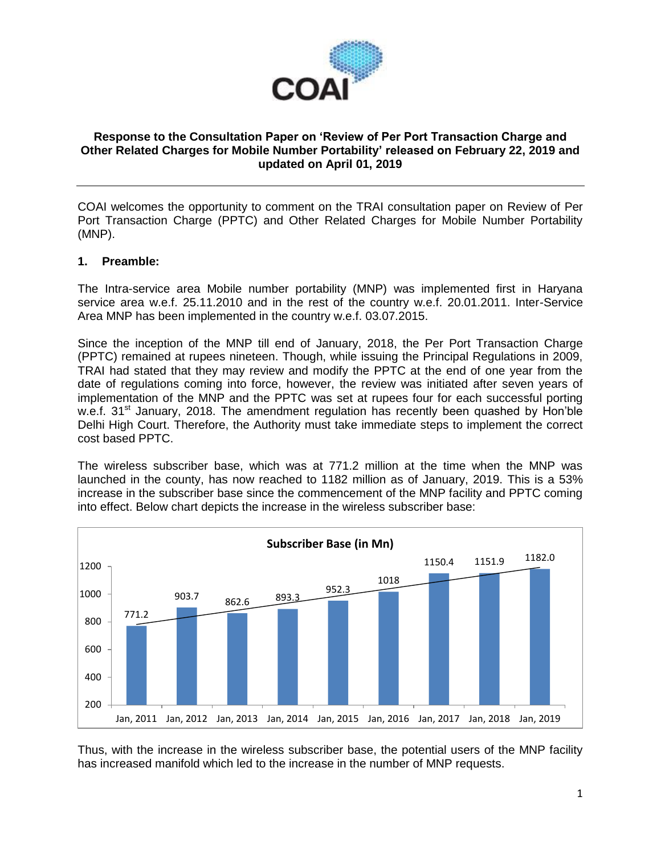

## **Response to the Consultation Paper on 'Review of Per Port Transaction Charge and Other Related Charges for Mobile Number Portability' released on February 22, 2019 and updated on April 01, 2019**

COAI welcomes the opportunity to comment on the TRAI consultation paper on Review of Per Port Transaction Charge (PPTC) and Other Related Charges for Mobile Number Portability (MNP).

## **1. Preamble:**

The Intra-service area Mobile number portability (MNP) was implemented first in Haryana service area w.e.f. 25.11.2010 and in the rest of the country w.e.f. 20.01.2011. Inter-Service Area MNP has been implemented in the country w.e.f. 03.07.2015.

Since the inception of the MNP till end of January, 2018, the Per Port Transaction Charge (PPTC) remained at rupees nineteen. Though, while issuing the Principal Regulations in 2009, TRAI had stated that they may review and modify the PPTC at the end of one year from the date of regulations coming into force, however, the review was initiated after seven years of implementation of the MNP and the PPTC was set at rupees four for each successful porting w.e.f. 31<sup>st</sup> January, 2018. The amendment regulation has recently been quashed by Hon'ble Delhi High Court. Therefore, the Authority must take immediate steps to implement the correct cost based PPTC.

The wireless subscriber base, which was at 771.2 million at the time when the MNP was launched in the county, has now reached to 1182 million as of January, 2019. This is a 53% increase in the subscriber base since the commencement of the MNP facility and PPTC coming into effect. Below chart depicts the increase in the wireless subscriber base:



Thus, with the increase in the wireless subscriber base, the potential users of the MNP facility has increased manifold which led to the increase in the number of MNP requests.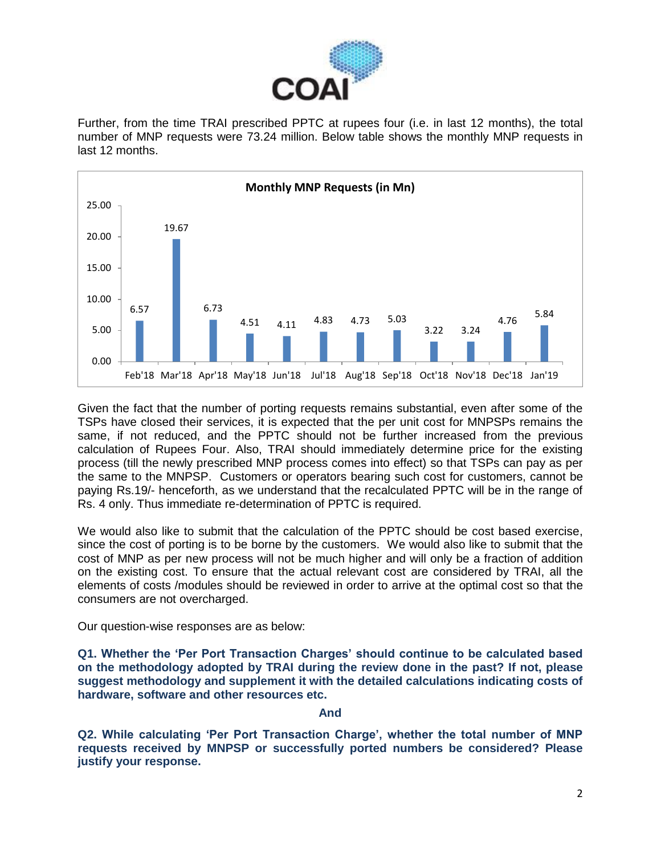

Further, from the time TRAI prescribed PPTC at rupees four (i.e. in last 12 months), the total number of MNP requests were 73.24 million. Below table shows the monthly MNP requests in last 12 months.



Given the fact that the number of porting requests remains substantial, even after some of the TSPs have closed their services, it is expected that the per unit cost for MNPSPs remains the same, if not reduced, and the PPTC should not be further increased from the previous calculation of Rupees Four. Also, TRAI should immediately determine price for the existing process (till the newly prescribed MNP process comes into effect) so that TSPs can pay as per the same to the MNPSP. Customers or operators bearing such cost for customers, cannot be paying Rs.19/- henceforth, as we understand that the recalculated PPTC will be in the range of Rs. 4 only. Thus immediate re-determination of PPTC is required.

We would also like to submit that the calculation of the PPTC should be cost based exercise, since the cost of porting is to be borne by the customers. We would also like to submit that the cost of MNP as per new process will not be much higher and will only be a fraction of addition on the existing cost. To ensure that the actual relevant cost are considered by TRAI, all the elements of costs /modules should be reviewed in order to arrive at the optimal cost so that the consumers are not overcharged.

Our question-wise responses are as below:

**Q1. Whether the 'Per Port Transaction Charges' should continue to be calculated based on the methodology adopted by TRAI during the review done in the past? If not, please suggest methodology and supplement it with the detailed calculations indicating costs of hardware, software and other resources etc.**

## **And**

**Q2. While calculating 'Per Port Transaction Charge', whether the total number of MNP requests received by MNPSP or successfully ported numbers be considered? Please justify your response.**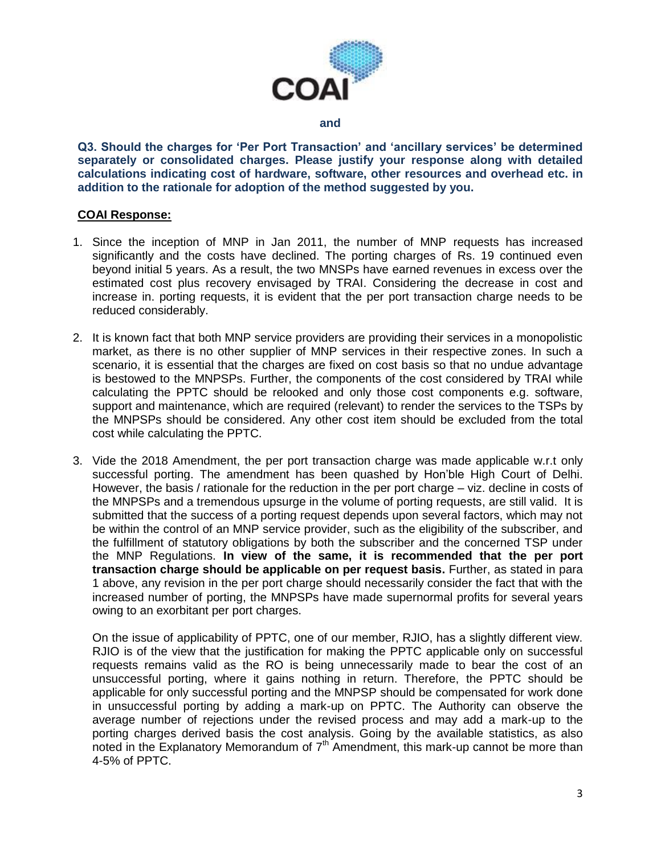

#### **and**

**Q3. Should the charges for 'Per Port Transaction' and 'ancillary services' be determined separately or consolidated charges. Please justify your response along with detailed calculations indicating cost of hardware, software, other resources and overhead etc. in addition to the rationale for adoption of the method suggested by you.**

#### **COAI Response:**

- 1. Since the inception of MNP in Jan 2011, the number of MNP requests has increased significantly and the costs have declined. The porting charges of Rs. 19 continued even beyond initial 5 years. As a result, the two MNSPs have earned revenues in excess over the estimated cost plus recovery envisaged by TRAI. Considering the decrease in cost and increase in. porting requests, it is evident that the per port transaction charge needs to be reduced considerably.
- 2. It is known fact that both MNP service providers are providing their services in a monopolistic market, as there is no other supplier of MNP services in their respective zones. In such a scenario, it is essential that the charges are fixed on cost basis so that no undue advantage is bestowed to the MNPSPs. Further, the components of the cost considered by TRAI while calculating the PPTC should be relooked and only those cost components e.g. software, support and maintenance, which are required (relevant) to render the services to the TSPs by the MNPSPs should be considered. Any other cost item should be excluded from the total cost while calculating the PPTC.
- 3. Vide the 2018 Amendment, the per port transaction charge was made applicable w.r.t only successful porting. The amendment has been quashed by Hon'ble High Court of Delhi. However, the basis / rationale for the reduction in the per port charge – viz. decline in costs of the MNPSPs and a tremendous upsurge in the volume of porting requests, are still valid. It is submitted that the success of a porting request depends upon several factors, which may not be within the control of an MNP service provider, such as the eligibility of the subscriber, and the fulfillment of statutory obligations by both the subscriber and the concerned TSP under the MNP Regulations. **In view of the same, it is recommended that the per port transaction charge should be applicable on per request basis.** Further, as stated in para 1 above, any revision in the per port charge should necessarily consider the fact that with the increased number of porting, the MNPSPs have made supernormal profits for several years owing to an exorbitant per port charges.

On the issue of applicability of PPTC, one of our member, RJIO, has a slightly different view. RJIO is of the view that the justification for making the PPTC applicable only on successful requests remains valid as the RO is being unnecessarily made to bear the cost of an unsuccessful porting, where it gains nothing in return. Therefore, the PPTC should be applicable for only successful porting and the MNPSP should be compensated for work done in unsuccessful porting by adding a mark-up on PPTC. The Authority can observe the average number of rejections under the revised process and may add a mark-up to the porting charges derived basis the cost analysis. Going by the available statistics, as also noted in the Explanatory Memorandum of  $7<sup>th</sup>$  Amendment, this mark-up cannot be more than 4-5% of PPTC.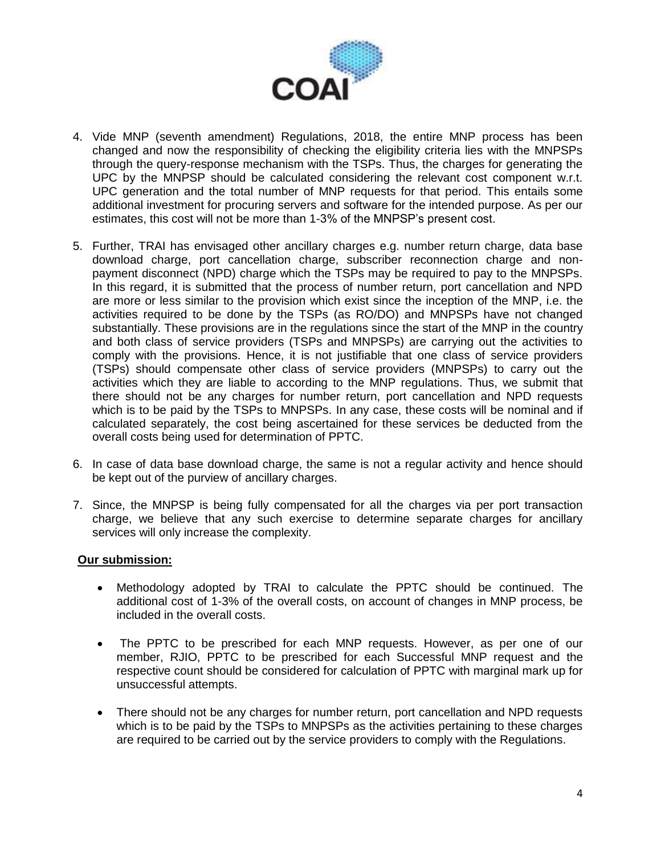

- 4. Vide MNP (seventh amendment) Regulations, 2018, the entire MNP process has been changed and now the responsibility of checking the eligibility criteria lies with the MNPSPs through the query-response mechanism with the TSPs. Thus, the charges for generating the UPC by the MNPSP should be calculated considering the relevant cost component w.r.t. UPC generation and the total number of MNP requests for that period. This entails some additional investment for procuring servers and software for the intended purpose. As per our estimates, this cost will not be more than 1-3% of the MNPSP's present cost.
- 5. Further, TRAI has envisaged other ancillary charges e.g. number return charge, data base download charge, port cancellation charge, subscriber reconnection charge and nonpayment disconnect (NPD) charge which the TSPs may be required to pay to the MNPSPs. In this regard, it is submitted that the process of number return, port cancellation and NPD are more or less similar to the provision which exist since the inception of the MNP, i.e. the activities required to be done by the TSPs (as RO/DO) and MNPSPs have not changed substantially. These provisions are in the regulations since the start of the MNP in the country and both class of service providers (TSPs and MNPSPs) are carrying out the activities to comply with the provisions. Hence, it is not justifiable that one class of service providers (TSPs) should compensate other class of service providers (MNPSPs) to carry out the activities which they are liable to according to the MNP regulations. Thus, we submit that there should not be any charges for number return, port cancellation and NPD requests which is to be paid by the TSPs to MNPSPs. In any case, these costs will be nominal and if calculated separately, the cost being ascertained for these services be deducted from the overall costs being used for determination of PPTC.
- 6. In case of data base download charge, the same is not a regular activity and hence should be kept out of the purview of ancillary charges.
- 7. Since, the MNPSP is being fully compensated for all the charges via per port transaction charge, we believe that any such exercise to determine separate charges for ancillary services will only increase the complexity.

# **Our submission:**

- Methodology adopted by TRAI to calculate the PPTC should be continued. The additional cost of 1-3% of the overall costs, on account of changes in MNP process, be included in the overall costs.
- The PPTC to be prescribed for each MNP requests. However, as per one of our member, RJIO, PPTC to be prescribed for each Successful MNP request and the respective count should be considered for calculation of PPTC with marginal mark up for unsuccessful attempts.
- There should not be any charges for number return, port cancellation and NPD requests which is to be paid by the TSPs to MNPSPs as the activities pertaining to these charges are required to be carried out by the service providers to comply with the Regulations.